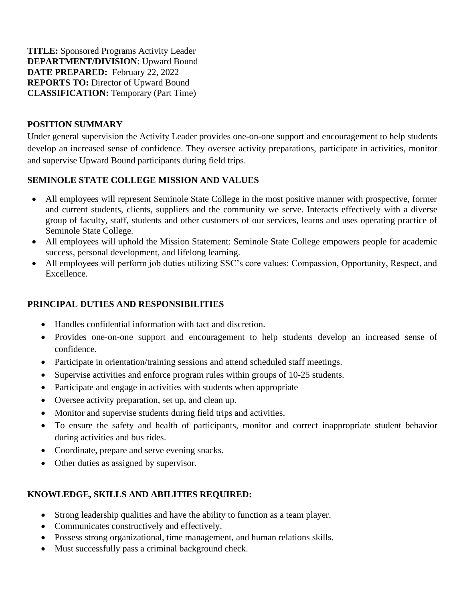**TITLE:** Sponsored Programs Activity Leader **DEPARTMENT/DIVISION**: Upward Bound **DATE PREPARED:** February 22, 2022 **REPORTS TO:** Director of Upward Bound **CLASSIFICATION:** Temporary (Part Time)

### **POSITION SUMMARY**

Under general supervision the Activity Leader provides one-on-one support and encouragement to help students develop an increased sense of confidence. They oversee activity preparations, participate in activities, monitor and supervise Upward Bound participants during field trips.

### **SEMINOLE STATE COLLEGE MISSION AND VALUES**

- All employees will represent Seminole State College in the most positive manner with prospective, former and current students, clients, suppliers and the community we serve. Interacts effectively with a diverse group of faculty, staff, students and other customers of our services, learns and uses operating practice of Seminole State College.
- All employees will uphold the Mission Statement: Seminole State College empowers people for academic success, personal development, and lifelong learning.
- All employees will perform job duties utilizing SSC's core values: Compassion, Opportunity, Respect, and Excellence.

# **PRINCIPAL DUTIES AND RESPONSIBILITIES**

- Handles confidential information with tact and discretion.
- Provides one-on-one support and encouragement to help students develop an increased sense of confidence.
- Participate in orientation/training sessions and attend scheduled staff meetings.
- Supervise activities and enforce program rules within groups of 10-25 students.
- Participate and engage in activities with students when appropriate
- Oversee activity preparation, set up, and clean up.
- Monitor and supervise students during field trips and activities.
- To ensure the safety and health of participants, monitor and correct inappropriate student behavior during activities and bus rides.
- Coordinate, prepare and serve evening snacks.
- Other duties as assigned by supervisor.

# **KNOWLEDGE, SKILLS AND ABILITIES REQUIRED:**

- Strong leadership qualities and have the ability to function as a team player.
- Communicates constructively and effectively.
- Possess strong organizational, time management, and human relations skills.
- Must successfully pass a criminal background check.